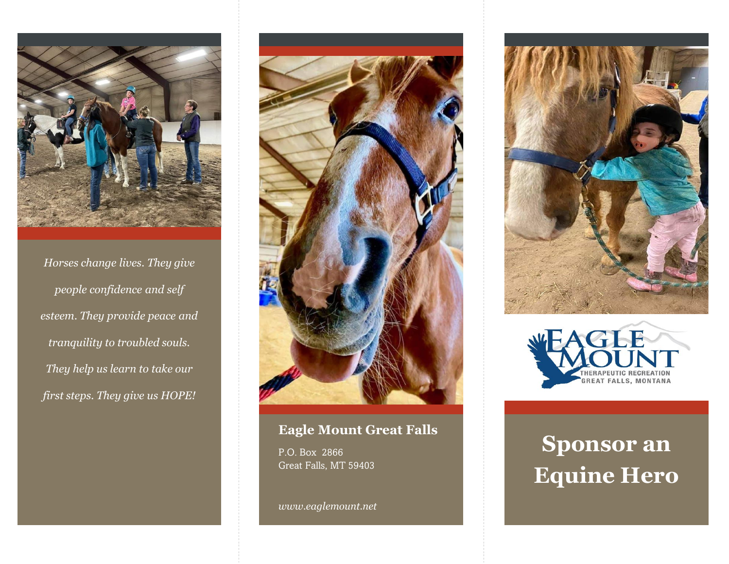

*Horses change lives. They give people confidence and self esteem. They provide peace and tranquility to troubled souls. They help us learn to take our first steps. They give us HOPE!*



#### **Eagle Mount Great Falls**

P.O. Box 2866 Great Falls, MT 59403

*www.eaglemount.net*





# **Sponsor an Equine Hero**